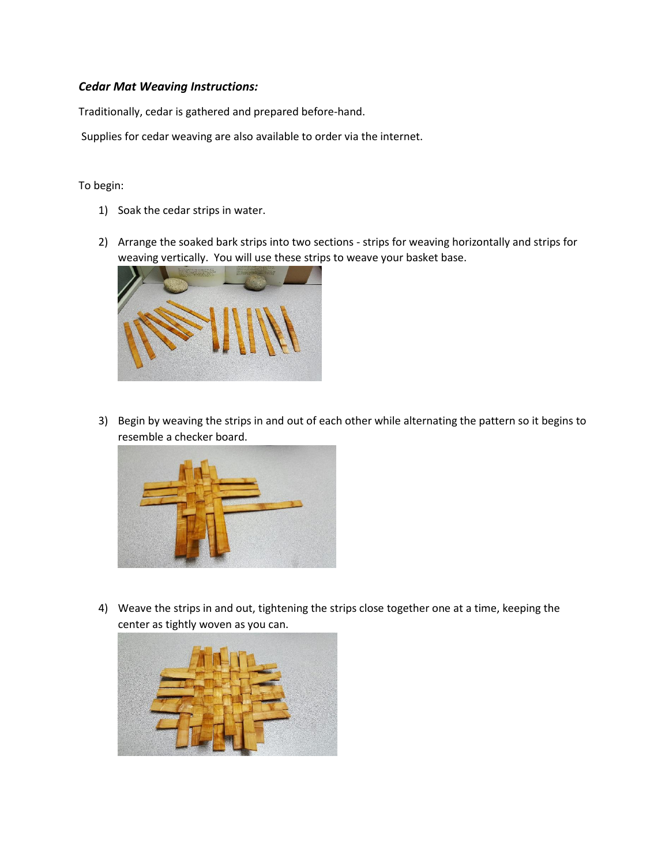## *Cedar Mat Weaving Instructions:*

Traditionally, cedar is gathered and prepared before-hand.

Supplies for cedar weaving are also available to order via the internet.

To begin:

- 1) Soak the cedar strips in water.
- 2) Arrange the soaked bark strips into two sections strips for weaving horizontally and strips for weaving vertically. You will use these strips to weave your basket base.



3) Begin by weaving the strips in and out of each other while alternating the pattern so it begins to resemble a checker board.



4) Weave the strips in and out, tightening the strips close together one at a time, keeping the center as tightly woven as you can.